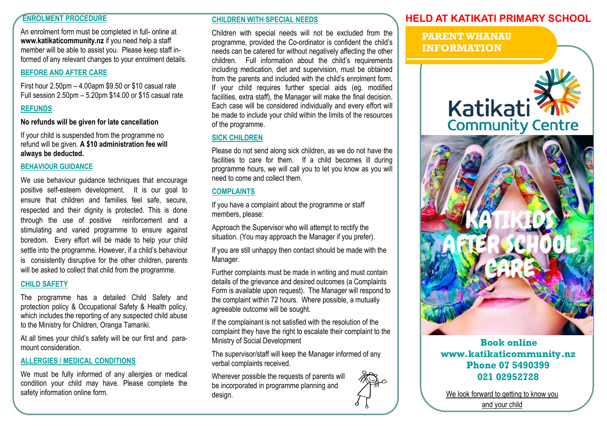# **ENROLMENT PROCEDURE**

An enrolment form must be completed in full- online at **www.katikaticommunity.nz** if you need help a staff member will be able to assist you. Please keep staff informed of any relevant changes to your enrolment details.

# **BEFORE AND AFTER CARE**

First hour 2.50pm – 4.00apm \$9.50 or \$10 casual rate Full session 2.50pm – 5.20pm \$14.00 or \$15 casual rate

# **REFUNDS**

**No refunds will be given for late cancellation** 

If your child is suspended from the programme no refund will be given. **A \$10 administration fee will always be deducted.**

#### **BEHAVIOUR GUIDANCE**

We use behaviour quidance techniques that encourage positive self-esteem development. It is our goal to ensure that children and families feel safe, secure, respected and their dignity is protected. This is done through the use of positive reinforcement and a stimulating and varied programme to ensure against boredom. Every effort will be made to help your child settle into the programme. However, if a child's behaviour is consistently disruptive for the other children, parents will be asked to collect that child from the programme.

## **CHILD SAFETY**

The programme has a detailed Child Safety and protection policy & Occupational Safety & Health policy, which includes the reporting of any suspected child abuse to the Ministry for Children, Oranga Tamariki.

At an urnes your cring's salety will be our first and para-<br>mount consideration. **Book online** At all times your child's safety will be our first and paramount consideration.

## **ALLERGIES / MEDICAL CONDITIONS**

We must be fully informed of any allergies or medical condition your child may have. Please complete the safety information online form.

## **CHILDREN WITH SPECIAL NEEDS**

Children with special needs will not be excluded from the programme, provided the Co-ordinator is confident the child's needs can be catered for without negatively affecting the other children. Full information about the child's requirements including medication, diet and supervision, must be obtained from the parents and included with the child's enrolment form. If your child requires further special aids (eg. modified facilities, extra staff), the Manager will make the final decision. Each case will be considered individually and every effort will be made to include your child within the limits of the resources of the programme.

# **SICK CHILDREN**

Please do not send along sick children, as we do not have the facilities to care for them. If a child becomes ill during programme hours, we will call you to let you know as you will need to come and collect them.

# **COMPLAINTS**

If you have a complaint about the programme or staff members, please:

Approach the Supervisor who will attempt to rectify the situation. (You may approach the Manager if you prefer).

If you are still unhappy then contact should be made with the Manager.

Further complaints must be made in writing and must contain details of the grievance and desired outcomes (a Complaints Form is available upon request). The Manager will respond to the complaint within 72 hours. Where possible, a mutually agreeable outcome will be sought.

If the complainant is not satisfied with the resolution of the complaint they have the right to escalate their complaint to the Ministry of Social Development

The supervisor/staff will keep the Manager informed of any verbal complaints received.

Wherever possible the requests of parents will be incorporated in programme planning and design.

# **HELD AT KATIKATI PRIMARY SCHOOL**

**PARENT WHANAU INFORMATION**





**www.katikaticommunity.nz Phone 07 5490399 021 02952728**

and your child